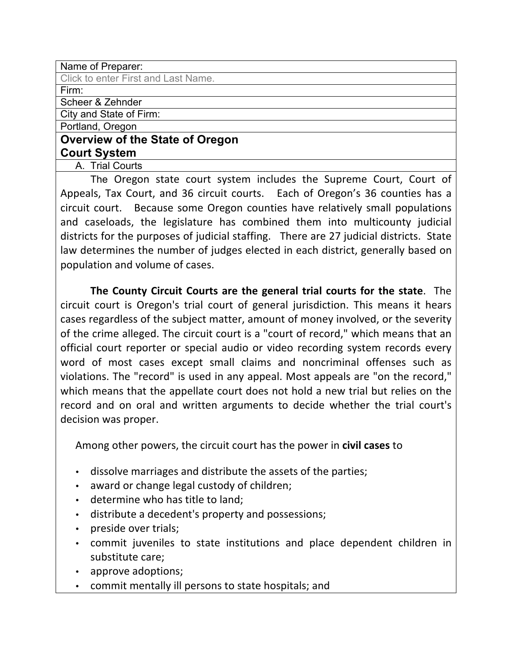| Name of Preparer:                      |
|----------------------------------------|
| Click to enter First and Last Name.    |
| Firm:                                  |
| Scheer & Zehnder                       |
| City and State of Firm:                |
| Portland, Oregon                       |
| <b>Overview of the State of Oregon</b> |
| <b>Court System</b>                    |
| A. Trial Courts                        |
|                                        |

The Oregon state court system includes the Supreme Court, Court of Appeals, Tax Court, and 36 circuit courts. Each of Oregon's 36 counties has a circuit court. Because some Oregon counties have relatively small populations and caseloads, the legislature has combined them into multicounty judicial districts for the purposes of judicial staffing. There are 27 judicial districts. State law determines the number of judges elected in each district, generally based on population and volume of cases.

**The County Circuit Courts are the general trial courts for the state.** The circuit court is Oregon's trial court of general jurisdiction. This means it hears cases regardless of the subject matter, amount of money involved, or the severity of the crime alleged. The circuit court is a "court of record," which means that an official court reporter or special audio or video recording system records every word of most cases except small claims and noncriminal offenses such as violations. The "record" is used in any appeal. Most appeals are "on the record," which means that the appellate court does not hold a new trial but relies on the record and on oral and written arguments to decide whether the trial court's decision was proper.

Among other powers, the circuit court has the power in **civil cases** to

- dissolve marriages and distribute the assets of the parties;
- award or change legal custody of children;
- determine who has title to land;
- distribute a decedent's property and possessions;
- preside over trials;
- commit juveniles to state institutions and place dependent children in substitute care;
- approve adoptions;
- commit mentally ill persons to state hospitals; and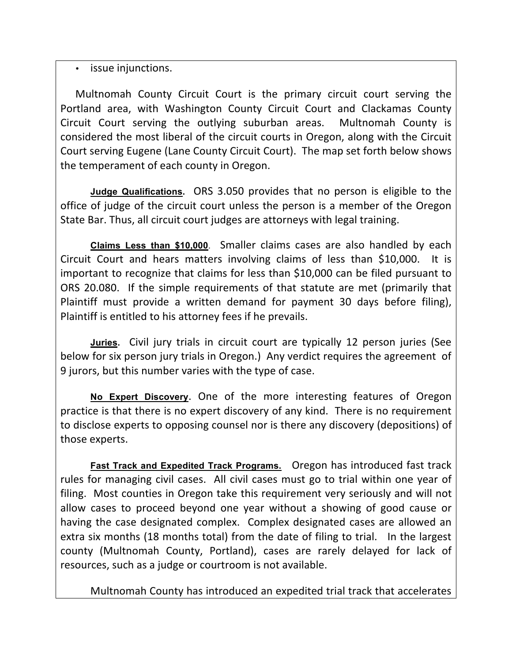# • issue injunctions.

Multnomah County Circuit Court is the primary circuit court serving the Portland area, with Washington County Circuit Court and Clackamas County Circuit Court serving the outlying suburban areas. Multnomah County is considered the most liberal of the circuit courts in Oregon, along with the Circuit Court serving Eugene (Lane County Circuit Court). The map set forth below shows the temperament of each county in Oregon.

**Judge Qualifications.** ORS 3.050 provides that no person is eligible to the office of judge of the circuit court unless the person is a member of the Oregon State Bar. Thus, all circuit court judges are attorneys with legal training.

**Claims Less than \$10,000**. Smaller claims cases are also handled by each Circuit Court and hears matters involving claims of less than \$10,000. It is important to recognize that claims for less than \$10,000 can be filed pursuant to ORS 20.080. If the simple requirements of that statute are met (primarily that) Plaintiff must provide a written demand for payment 30 days before filing), Plaintiff is entitled to his attorney fees if he prevails.

**Juries.** Civil jury trials in circuit court are typically 12 person juries (See' below for six person jury trials in Oregon.) Any verdict requires the agreement of 9 jurors, but this number varies with the type of case.

No Expert Discovery. One of the more interesting features of Oregon practice is that there is no expert discovery of any kind. There is no requirement to disclose experts to opposing counsel nor is there any discovery (depositions) of those experts.

Fast Track and Expedited Track Programs. Oregon has introduced fast track rules for managing civil cases. All civil cases must go to trial within one year of filing. Most counties in Oregon take this requirement very seriously and will not allow cases to proceed beyond one year without a showing of good cause or having the case designated complex. Complex designated cases are allowed an extra six months (18 months total) from the date of filing to trial. In the largest county (Multnomah County, Portland), cases are rarely delayed for lack of resources, such as a judge or courtroom is not available.

Multnomah County has introduced an expedited trial track that accelerates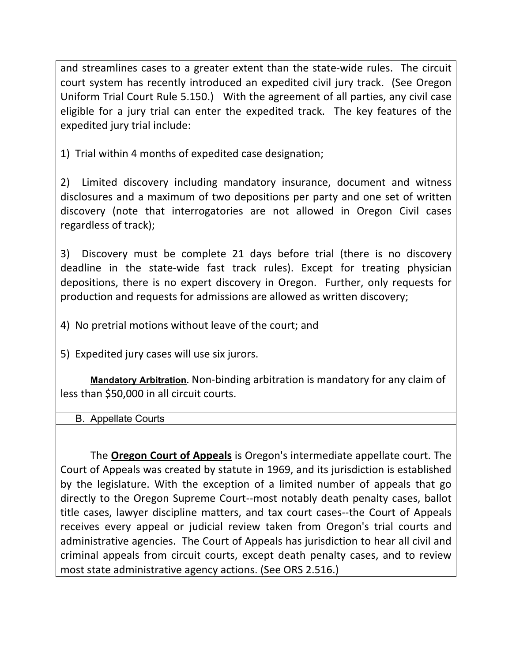and streamlines cases to a greater extent than the state-wide rules. The circuit court system has recently introduced an expedited civil jury track. (See Oregon) Uniform Trial Court Rule 5.150.) With the agreement of all parties, any civil case eligible for a jury trial can enter the expedited track. The key features of the expedited jury trial include:

1) Trial within 4 months of expedited case designation;

2) Limited discovery including mandatory insurance, document and witness disclosures and a maximum of two depositions per party and one set of written discovery (note that interrogatories are not allowed in Oregon Civil cases regardless of track);

3) Discovery must be complete 21 days before trial (there is no discovery deadline in the state-wide fast track rules). Except for treating physician depositions, there is no expert discovery in Oregon. Further, only requests for production and requests for admissions are allowed as written discovery;

4) No pretrial motions without leave of the court; and

5) Expedited jury cases will use six jurors.

**Mandatory Arbitration**. Non-binding arbitration is mandatory for any claim of less than \$50,000 in all circuit courts.

B. Appellate Courts

The **Oregon Court of Appeals** is Oregon's intermediate appellate court. The Court of Appeals was created by statute in 1969, and its jurisdiction is established by the legislature. With the exception of a limited number of appeals that go directly to the Oregon Supreme Court--most notably death penalty cases, ballot title cases, lawyer discipline matters, and tax court cases--the Court of Appeals receives every appeal or judicial review taken from Oregon's trial courts and administrative agencies. The Court of Appeals has jurisdiction to hear all civil and criminal appeals from circuit courts, except death penalty cases, and to review most state administrative agency actions. (See ORS 2.516.)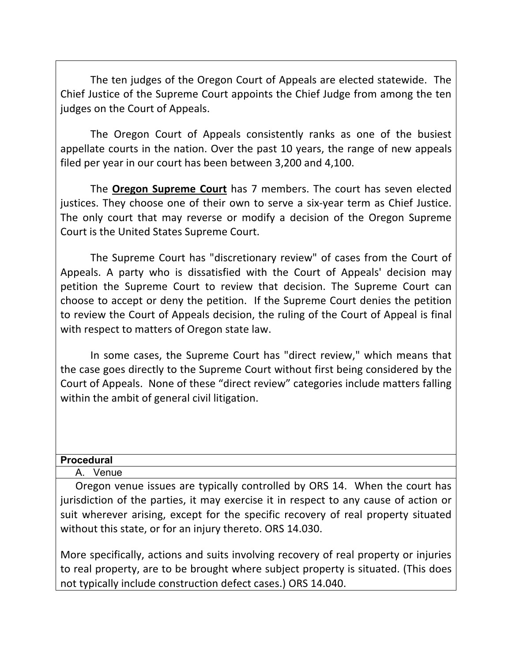The ten judges of the Oregon Court of Appeals are elected statewide. The Chief Justice of the Supreme Court appoints the Chief Judge from among the ten judges on the Court of Appeals.

The Oregon Court of Appeals consistently ranks as one of the busiest appellate courts in the nation. Over the past 10 years, the range of new appeals filed per year in our court has been between 3,200 and 4,100.

The **Oregon Supreme Court** has 7 members. The court has seven elected justices. They choose one of their own to serve a six-year term as Chief Justice. The only court that may reverse or modify a decision of the Oregon Supreme Court is the United States Supreme Court.

The Supreme Court has "discretionary review" of cases from the Court of Appeals. A party who is dissatisfied with the Court of Appeals' decision may petition the Supreme Court to review that decision. The Supreme Court can choose to accept or deny the petition. If the Supreme Court denies the petition to review the Court of Appeals decision, the ruling of the Court of Appeal is final with respect to matters of Oregon state law.

In some cases, the Supreme Court has "direct review," which means that the case goes directly to the Supreme Court without first being considered by the Court of Appeals. None of these "direct review" categories include matters falling within the ambit of general civil litigation.

### **Procedural**

#### A. Venue

Oregon venue issues are typically controlled by ORS 14. When the court has jurisdiction of the parties, it may exercise it in respect to any cause of action or suit wherever arising, except for the specific recovery of real property situated without this state, or for an injury thereto. ORS 14.030.

More specifically, actions and suits involving recovery of real property or injuries to real property, are to be brought where subject property is situated. (This does' not typically include construction defect cases.) ORS 14.040.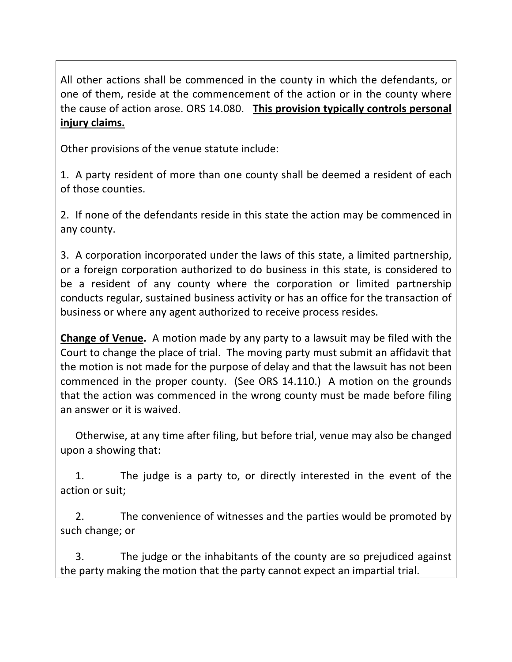All other actions shall be commenced in the county in which the defendants, or one of them, reside at the commencement of the action or in the county where the cause of action arose. ORS 14.080. This provision typically controls personal **injury!claims.**

Other provisions of the venue statute include:

1. A party resident of more than one county shall be deemed a resident of each of those counties.

2. If none of the defendants reside in this state the action may be commenced in any county.

3. A corporation incorporated under the laws of this state, a limited partnership, or a foreign corporation authorized to do business in this state, is considered to be a resident of any county where the corporation or limited partnership conducts regular, sustained business activity or has an office for the transaction of business or where any agent authorized to receive process resides.

**Change of Venue.** A motion made by any party to a lawsuit may be filed with the Court to change the place of trial. The moving party must submit an affidavit that the motion is not made for the purpose of delay and that the lawsuit has not been commenced in the proper county. (See ORS 14.110.) A motion on the grounds that the action was commenced in the wrong county must be made before filing an answer or it is waived.

Otherwise, at any time after filing, but before trial, venue may also be changed upon a showing that:

1. The judge is a party to, or directly interested in the event of the action or suit:

2. The convenience of witnesses and the parties would be promoted by such change; or

3. The judge or the inhabitants of the county are so prejudiced against the party making the motion that the party cannot expect an impartial trial.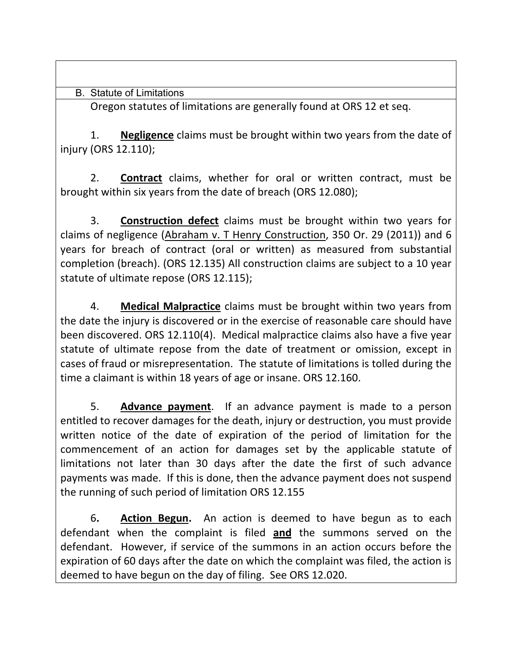B. Statute of Limitations

Oregon statutes of limitations are generally found at ORS 12 et seq.

1. **Negligence** claims must be brought within two years from the date of injury (ORS 12.110);

2. **Contract** claims, whether for oral or written contract, must be brought within six years from the date of breach (ORS 12.080);

3. **Construction defect** claims must be brought within two years for claims of negligence (Abraham v. T Henry Construction, 350 Or. 29 (2011)) and 6 years for breach of contract (oral or written) as measured from substantial completion (breach). (ORS 12.135) All construction claims are subject to a 10 year statute of ultimate repose (ORS 12.115);

4. Medical Malpractice claims must be brought within two years from the date the injury is discovered or in the exercise of reasonable care should have been discovered. ORS 12.110(4). Medical malpractice claims also have a five year statute of ultimate repose from the date of treatment or omission, except in cases of fraud or misrepresentation. The statute of limitations is tolled during the time a claimant is within 18 years of age or insane. ORS 12.160.

5. **Advance payment**. If an advance payment is made to a person entitled to recover damages for the death, injury or destruction, you must provide written notice of the date of expiration of the period of limitation for the commencement of an action for damages set by the applicable statute of limitations not later than 30 days after the date the first of such advance payments was made. If this is done, then the advance payment does not suspend the running of such period of limitation ORS 12.155

6. **Action Begun.** An action is deemed to have begun as to each defendant when the complaint is filed and the summons served on the defendant. However, if service of the summons in an action occurs before the expiration of 60 days after the date on which the complaint was filed, the action is deemed to have begun on the day of filing. See ORS 12.020.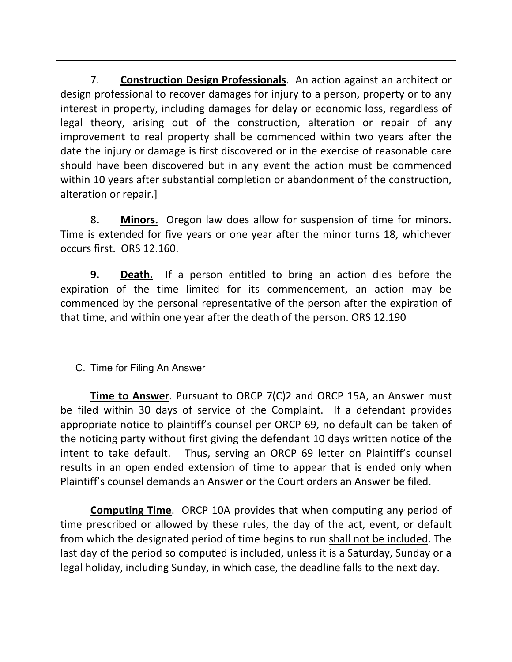7. **Construction Design Professionals**. An action against an architect or design professional to recover damages for injury to a person, property or to any interest in property, including damages for delay or economic loss, regardless of legal theory, arising out of the construction, alteration or repair of any improvement to real property shall be commenced within two years after the date the injury or damage is first discovered or in the exercise of reasonable care should have been discovered but in any event the action must be commenced within'10 years after substantial completion or abandonment of the construction, alteration or repair.]

8. **Minors.** Oregon law does allow for suspension of time for minors. Time is extended for five years or one year after the minor turns 18, whichever' occurs first. ORS 12.160.

**9. Death.** If a person entitled to bring an action dies before the expiration of the time limited for its commencement, an action may be commenced by the personal representative of the person after the expiration of that time, and within one year after the death of the person. ORS 12.190

# C. Time for Filing An Answer

**Time to Answer**. Pursuant to ORCP 7(C)2 and ORCP 15A, an Answer must be filed within 30 days of service of the Complaint. If a defendant provides appropriate notice to plaintiff's counsel per ORCP 69, no default can be taken of the noticing party without first giving the defendant 10 days written notice of the intent to take default. Thus, serving an ORCP 69 letter on Plaintiff's counsel results in an open ended extension of time to appear that is ended only when Plaintiff's counsel demands an Answer or the Court orders an Answer be filed.

**Computing Time.** ORCP 10A provides that when computing any period of time prescribed or allowed by these rules, the day of the act, event, or default from which the designated period of time begins to run shall not be included. The last day of the period so computed is included, unless it is a Saturday, Sunday or a legal holiday, including Sunday, in which case, the deadline falls to the next day.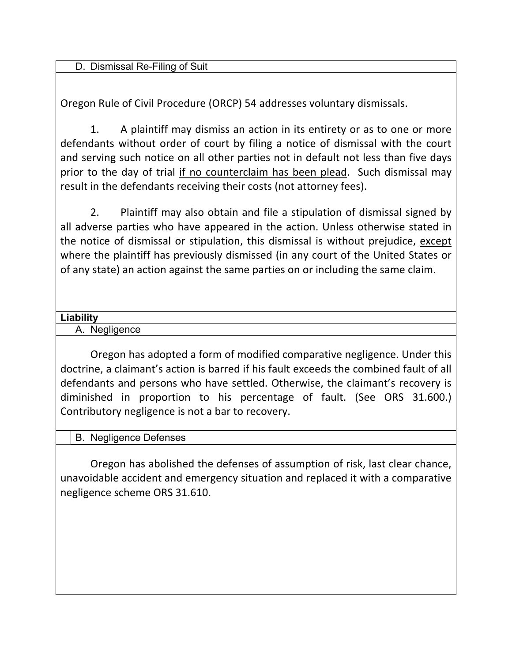D. Dismissal Re-Filing of Suit

Oregon Rule of Civil Procedure (ORCP) 54 addresses voluntary dismissals.

1. A plaintiff may dismiss an action in its entirety or as to one or more defendants without order of court by filing a notice of dismissal with the court and serving such notice on all other parties not in default not less than five days prior to the day of trial if no counterclaim has been plead. Such dismissal may result in the defendants receiving their costs (not attorney fees).

2. Plaintiff'may also obtain and file a stipulation of dismissal signed by all adverse parties who have appeared in the action. Unless otherwise stated in the notice of dismissal or stipulation, this dismissal is without prejudice, except where the plaintiff has previously dismissed (in any court of the United States or of any state) an action against the same parties on or including the same claim.

### **Liability**

A. Negligence

Oregon has adopted a form of modified comparative negligence. Under this doctrine, a claimant's action is barred if his fault exceeds the combined fault of all defendants and persons who have settled. Otherwise, the claimant's recovery is diminished in proportion to his percentage of fault. (See ORS 31.600.) Contributory negligence is not a bar to recovery.

B. Negligence Defenses

Oregon has abolished the defenses of assumption of risk, last clear chance, unavoidable accident and emergency situation and replaced it with a comparative negligence scheme ORS 31.610.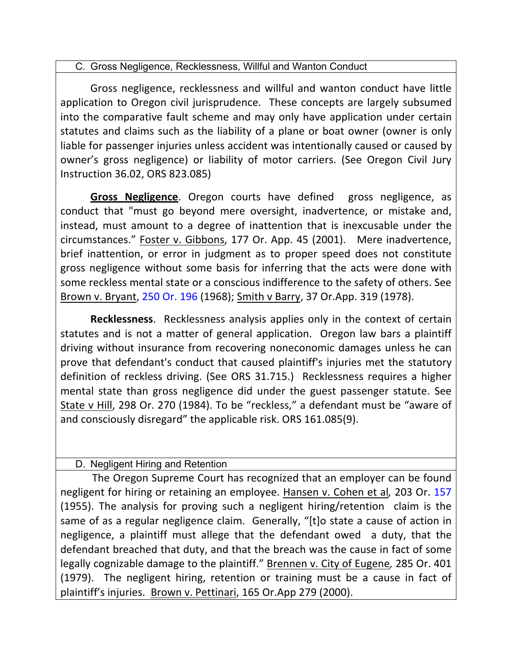### C. Gross Negligence, Recklessness, Willful and Wanton Conduct

Gross negligence, recklessness and willful and wanton conduct have little application to Oregon civil jurisprudence. These concepts are largely subsumed into the comparative fault scheme and may only have application under certain statutes and claims such as the liability of a plane or boat owner (owner is only liable for passenger injuries unless accident was intentionally caused or caused by owner's gross negligence) or liability of motor carriers. (See Oregon Civil Jury Instruction 36.02, ORS 823.085)

**Gross Negligence**. Oregon courts have defined gross negligence, as conduct that "must go beyond mere oversight, inadvertence, or mistake and, instead, must amount to a degree of inattention that is inexcusable under the circumstances." Foster v. Gibbons, 177 Or. App. 45 (2001). Mere inadvertence, brief inattention, or error in judgment as to proper speed does not constitute gross negligence without some basis for inferring that the acts were done with some reckless mental state or a conscious indifference to the safety of others. See Brown v. Bryant, 250 Or. 196 (1968); Smith v Barry, 37 Or.App. 319 (1978).

**Recklessness**. Recklessness analysis applies only in the context of certain statutes and is not a matter of general application. Oregon law bars a plaintiff driving without insurance from recovering noneconomic damages unless he can prove that defendant's conduct that caused plaintiff's injuries met the statutory definition of reckless driving. (See ORS 31.715.) Recklessness requires a higher mental state than gross negligence did under the guest passenger statute. See State v Hill, 298 Or. 270 (1984). To be "reckless," a defendant must be "aware of and consciously disregard" the applicable risk. ORS 161.085(9).

# D. Negligent Hiring and Retention

The Oregon Supreme Court has recognized that an employer can be found negligent for hiring or retaining an employee. Hansen v. Cohen et al, 203 Or. 157 (1955). The analysis for proving such a negligent hiring/retention claim is the same of as a regular negligence claim. Generally, "[t]o state a cause of action in negligence, a plaintiff must allege that the defendant owed a duty, that the defendant breached that duty, and that the breach was the cause in fact of some legally cognizable damage to the plaintiff." Brennen v. City of Eugene, 285 Or. 401 (1979). The negligent hiring, retention or training must be a cause in fact of plaintiff's injuries. Brown v. Pettinari, 165 Or.App 279 (2000).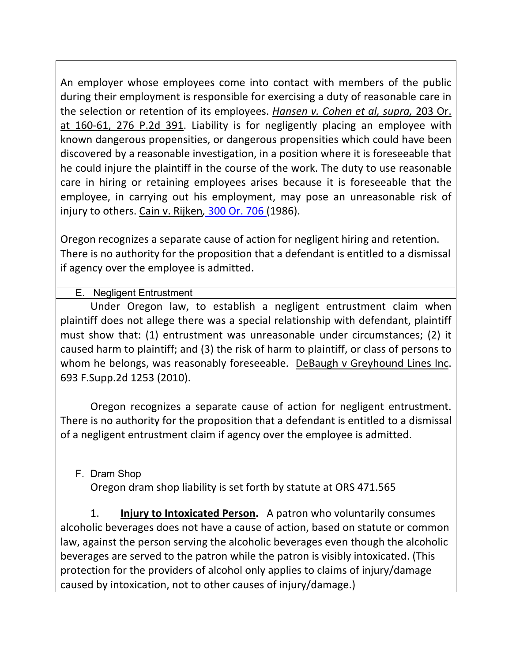An employer whose employees come into contact with members of the public during their employment is responsible for exercising a duty of reasonable care in the selection or retention of its employees. *Hansen v. Cohen et al, supra,* 203 Or. at 160-61, 276 P.2d 391. Liability is for negligently placing an employee with known'dangerous propensities, or dangerous propensities which could have been' discovered by a reasonable investigation, in a position where it is foreseeable that he could injure the plaintiff in the course of the work. The duty to use reasonable care in hiring or retaining employees arises because it is foreseeable that the employee, in carrying out his employment, may pose an unreasonable risk of injury to others. Cain v. Rijken, 300 Or. 706 (1986).

Oregon recognizes a separate cause of action for negligent hiring and retention. There is no authority for the proposition that a defendant is entitled to a dismissal if agency over the employee is admitted.

# E. Negligent Entrustment

Under Oregon law, to establish a negligent entrustment claim when plaintiff does not allege there was a special relationship with defendant, plaintiff must show that: (1) entrustment was unreasonable under circumstances; (2) it caused harm to plaintiff; and (3) the risk of harm to plaintiff, or class of persons to whom he belongs, was reasonably foreseeable. DeBaugh v Greyhound Lines Inc. 693 F.Supp.2d 1253 (2010).

Oregon recognizes a separate cause of action for negligent entrustment. There is no authority for the proposition that a defendant is entitled to a dismissal of a negligent entrustment claim if agency over the employee is admitted.

# F. Dram Shop

Oregon dram shop liability is set forth by statute at ORS 471.565

1. **Injury to Intoxicated Person.** A patron who voluntarily consumes alcoholic beverages does not have a cause of action, based on statute or common law, against the person serving the alcoholic beverages even though the alcoholic beverages are served to the patron while the patron is visibly intoxicated. (This protection for the providers of alcohol only applies to claims of injury/damage caused by intoxication, not to other causes of injury/damage.)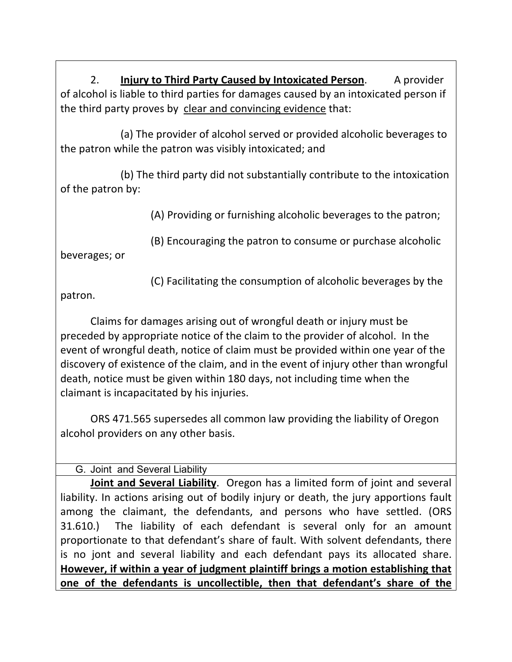2. **Injury to Third Party Caused by Intoxicated Person.** A provider of alcohol is liable to third parties for damages caused by an intoxicated person if the third party proves by clear and convincing evidence that:

(a) The provider of alcohol served or provided alcoholic beverages to the patron while the patron was visibly intoxicated; and

(b) The third party did not substantially contribute to the intoxication of the patron by:

(A) Providing or furnishing alcoholic beverages to the patron;

(B) Encouraging the patron to consume or purchase alcoholic

beverages; or

(C) Facilitating the consumption of alcoholic beverages by the

patron.'

Claims for damages arising out of wrongful death or injury must be preceded by appropriate notice of the claim to the provider of alcohol. In the event of wrongful death, notice of claim must be provided within one year of the discovery of existence of the claim, and in the event of injury other than wrongful death, notice must be given within 180 days, not including time when the claimant is incapacitated by his injuries.

ORS 471.565 supersedes all common law providing the liability of Oregon alcohol providers on any other basis.

G. Joint and Several Liability

**Joint and Several Liability**. Oregon has a limited form of joint and several liability. In actions arising out of bodily injury or death, the jury apportions fault among the claimant, the defendants, and persons who have settled. (ORS 31.610.) The liability of each defendant is several only for an amount proportionate to that defendant's share of fault. With solvent defendants, there is no jont and several liability and each defendant pays its allocated share. **However, if within a year of judgment plaintiff brings a motion establishing that one of the defendants is uncollectible, then that defendant's share of the**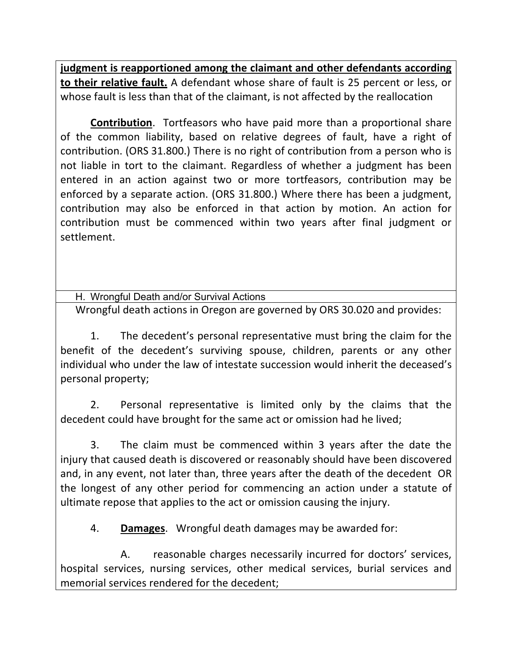**judgment is reapportioned among the claimant and other defendants according to their relative fault.** A defendant whose share of fault is 25 percent or less, or whose fault is less than that of the claimant, is not affected by the reallocation

**Contribution.** Tortfeasors who have paid more than a proportional share of the common liability, based on relative degrees of fault, have a right of contribution. (ORS 31.800.) There is no right of contribution from a person who is not liable in tort to the claimant. Regardless of whether a judgment has been entered in an action against two or more tortfeasors, contribution may be enforced by a separate action. (ORS 31.800.) Where there has been a judgment, contribution' may' also' be' enforced' in' that' action' by' motion.' An' action' for' contribution must be commenced within two years after final judgment or settlement.

H. Wrongful Death and/or Survival Actions Wrongful death actions in Oregon are governed by ORS 30.020 and provides:

1. The decedent's personal representative must bring the claim for the benefit of the decedent's surviving spouse, children, parents or any other individual who under the law of intestate succession would inherit the deceased's personal property;

2. Personal representative is limited only by the claims that the decedent could have brought for the same act or omission had he lived;

3. The claim must be commenced within 3 years after the date the injury that caused death is discovered or reasonably should have been discovered and, in any event, not later than, three years after the death of the decedent OR the longest of any other period for commencing an action under a statute of ultimate repose that applies to the act or omission causing the injury.

4. **Damages.** Wrongful death damages may be awarded for:

A. reasonable charges necessarily incurred for doctors' services, hospital services, nursing services, other medical services, burial services and memorial services rendered for the decedent;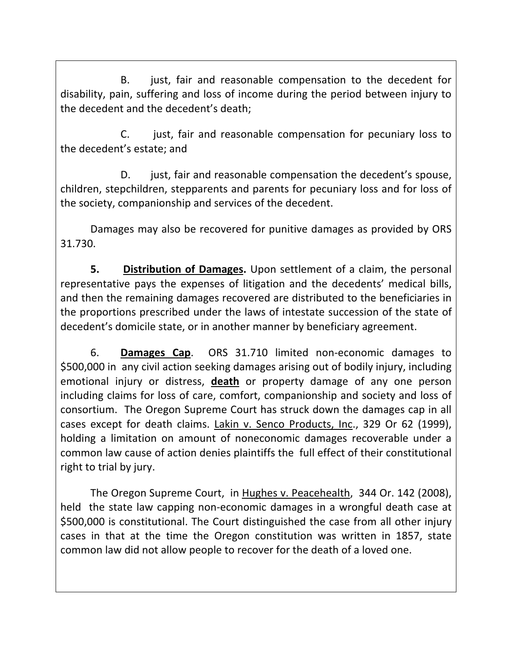B. just, fair and reasonable compensation to the decedent for disability, pain, suffering and loss of income during the period between injury to the decedent and the decedent's death;

C. just, fair and reasonable compensation for pecuniary loss to the decedent's estate; and

D. just, fair and reasonable compensation the decedent's spouse, children, stepchildren, stepparents and parents for pecuniary loss and for loss of the society, companionship and services of the decedent.

Damages may also be recovered for punitive damages as provided by ORS 31.730.

**5. Distribution of Damages.** Upon settlement of a claim, the personal representative pays the expenses of litigation and the decedents' medical bills, and then the remaining damages recovered are distributed to the beneficiaries in the proportions prescribed under the laws of intestate succession of the state of decedent's domicile state, or in another manner by beneficiary agreement.

6. **Damages Cap.** ORS 31.710 limited non-economic damages to \$500,000 in any civil action seeking damages arising out of bodily injury, including emotional injury or distress, **death** or property damage of any one person including claims for loss of care, comfort, companionship and society and loss of consortium. The Oregon Supreme Court has struck down the damages cap in all cases except for death claims. Lakin v. Senco Products, Inc., 329 Or 62 (1999), holding a limitation on amount of noneconomic damages recoverable under a common law cause of action denies plaintiffs the full effect of their constitutional right to trial by jury.

The Oregon Supreme Court, in Hughes v. Peacehealth, 344 Or. 142 (2008), held the state law capping non-economic damages in a wrongful death case at \$500,000 is constitutional. The Court distinguished the case from all other injury cases in that at the time the Oregon constitution was written in 1857, state common law did not allow people to recover for the death of a loved one.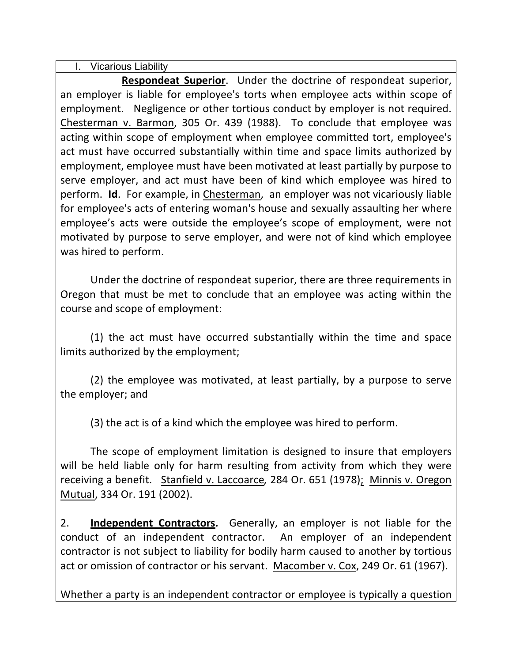I. Vicarious Liability

**Respondeat Superior.** Under the doctrine of respondeat superior, an' employer is liable for employee's torts when employee acts within scope of employment. Negligence or other tortious conduct by employer is not required. Chesterman v. Barmon, 305 Or. 439 (1988). To conclude that employee was acting within scope of employment when employee committed tort, employee's act must have occurred substantially within time and space limits authorized by employment, employee must have been motivated at least partially by purpose to serve employer, and act must have been of kind which employee was hired to perform. **Id**. For example, in Chesterman, an employer was not vicariously liable for employee's acts of entering woman's house and sexually assaulting her where employee's acts were outside the employee's scope of employment, were not motivated by purpose to serve employer, and were not of kind which employee was hired to perform.

Under the doctrine of respondeat superior, there are three requirements in Oregon that must be met to conclude that an employee was acting within the course and scope of employment:

(1) the act must have occurred substantially within the time and space limits authorized by the employment;

(2) the employee was motivated, at least partially, by a purpose to serve the employer; and

(3) the act is of a kind which the employee was hired to perform.

The scope of employment limitation is designed to insure that employers will be held liable only for harm resulting from activity from which they were receiving a benefit. Stanfield v. Laccoarce, 284 Or. 651 (1978); Minnis v. Oregon Mutual, 334 Or. 191 (2002).

2. **Independent Contractors.** Generally, an employer is not liable for the conduct of an independent contractor. An employer of an independent contractor is not subject to liability for bodily harm caused to another by tortious act or omission of contractor or his servant. Macomber v. Cox, 249 Or. 61 (1967).

Whether a party is an independent contractor or employee is typically a question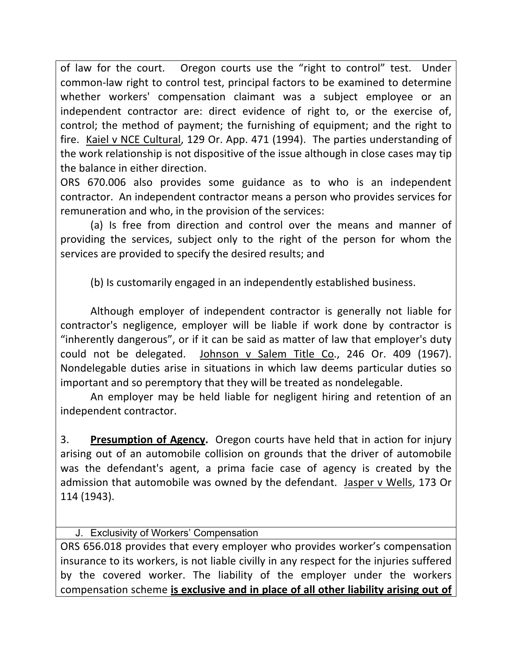of law for the court. Oregon courts use the "right to control" test. Under common-law right to control test, principal factors to be examined to determine whether workers' compensation claimant was a subject employee or an independent contractor are: direct evidence of right to, or the exercise of, control; the method of payment; the furnishing of equipment; and the right to fire. Kaiel v NCE Cultural, 129 Or. App. 471 (1994). The parties understanding of the work relationship is not dispositive of the issue although in close cases may tip the balance in either direction.

ORS 670.006 also provides some guidance as to who is an independent contractor. An independent contractor means a person who provides services for remuneration and who, in the provision of the services:

(a) Is free from direction and control over the means and manner of providing the services, subject only to the right of the person for whom the services are provided to specify the desired results; and

(b) Is customarily engaged in an independently established business.

Although employer of independent contractor is generally not liable for contractor's negligence, employer will be liable if work done by contractor is "inherently dangerous", or if it can be said as matter of law that employer's duty could not be delegated. Johnson v Salem Title Co., 246 Or. 409 (1967). Nondelegable duties arise in situations in which law deems particular duties so important and so peremptory that they will be treated as nondelegable.

An employer may be held liable for negligent hiring and retention of an independent contractor.

3. **Presumption of Agency.** Oregon courts have held that in action for injury arising out of an automobile collision on grounds that the driver of automobile was the defendant's agent, a prima facie case of agency is created by the admission that automobile was owned by the defendant. Jasper v Wells, 173 Or 114'(1943).

# J. Exclusivity of Workers' Compensation

ORS 656.018 provides that every employer who provides worker's compensation insurance to its workers, is not liable civilly in any respect for the injuries suffered by the covered worker. The liability of the employer under the workers compensation scheme is exclusive and in place of all other liability arising out of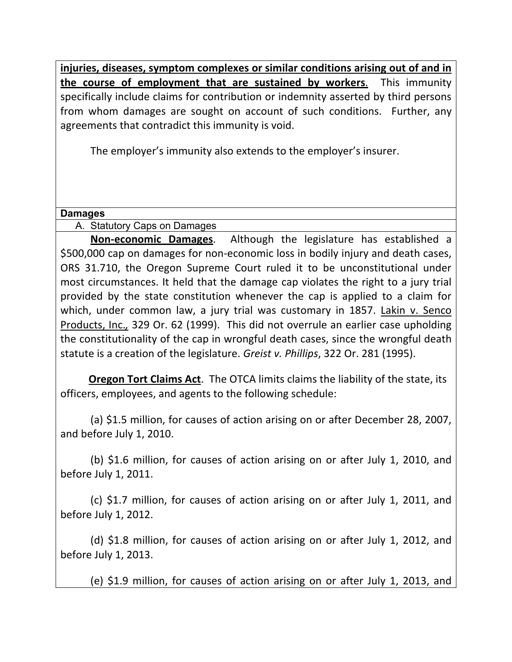injuries, diseases, symptom complexes or similar conditions arising out of and in **the course of employment that are sustained by workers.** This immunity specifically include claims for contribution or indemnity asserted by third persons from whom damages are sought on account of such conditions. Further, any agreements that contradict this immunity is void.

The employer's immunity also extends to the employer's insurer.

### **Damages**

A. Statutory Caps on Damages

**Non-economic Damages**. Although the legislature has established a \$500,000 cap on damages for non-economic loss in bodily injury and death cases, ORS 31.710, the Oregon Supreme Court ruled it to be unconstitutional under most circumstances. It held that the damage cap violates the right to a jury trial provided by the state constitution whenever the cap is applied to a claim for which, under common law, a jury trial was customary in 1857. Lakin v. Senco Products, Inc., 329 Or. 62 (1999). This did not overrule an earlier case upholding the constitutionality of the cap in wrongful death cases, since the wrongful death statute is a creation of the legislature. *Greist v. Phillips*, 322 Or. 281 (1995).

**Oregon Tort Claims Act.** The OTCA limits claims the liability of the state, its officers, employees, and agents to the following schedule:

(a) \$1.5 million, for causes of action arising on or after December 28, 2007, and before July 1, 2010.

(b)  $$1.6$  million, for causes of action arising on or after July 1, 2010, and before July 1, 2011.

(c)  $$1.7$  million, for causes of action arising on or after July 1, 2011, and before July 1, 2012.

(d)  $$1.8$  million, for causes of action arising on or after July 1, 2012, and before July 1, 2013.

(e) \$1.9 million, for causes of action arising on or after July 1, 2013, and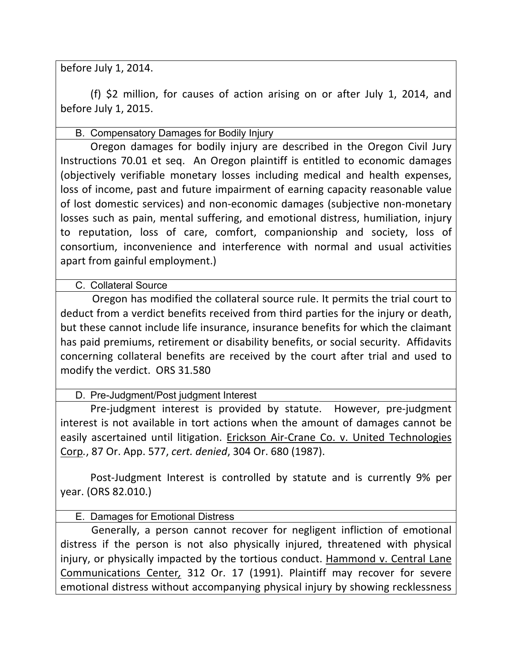before July 1, 2014.

(f)  $\sin$  million, for causes of action arising on or after July 1, 2014, and before July 1, 2015.

B. Compensatory Damages for Bodily Injury

Oregon damages for bodily injury are described in the Oregon Civil Jury Instructions 70.01 et seq. An Oregon plaintiff is entitled to economic damages (objectively verifiable monetary losses including medical and health expenses, loss of income, past and future impairment of earning capacity reasonable value of lost domestic services) and non-economic damages (subjective non-monetary losses such as pain, mental suffering, and emotional distress, humiliation, injury to reputation, loss of care, comfort, companionship and society, loss of consortium, inconvenience and interference with normal and usual activities apart from gainful employment.)

C. Collateral Source

Oregon has modified the collateral source rule. It permits the trial court to deduct from a verdict benefits received from third parties for the injury or death, but these cannot include life insurance, insurance benefits for which the claimant has paid premiums, retirement or disability benefits, or social security. Affidavits concerning collateral benefits are received by the court after trial and used to modify the verdict. ORS 31.580

D. Pre-Judgment/Post judgment Interest

Pre-judgment interest is provided by statute. However, pre-judgment interest is not available in tort actions when the amount of damages cannot be easily ascertained until litigation. Erickson Air-Crane Co. v. United Technologies Corp., 87 Or. App. 577, *cert. denied*, 304 Or. 680 (1987).

Post-Judgment Interest is controlled by statute and is currently 9% per year. (ORS 82.010.)

E. Damages for Emotional Distress

Generally, a person cannot recover for negligent infliction of emotional distress if the person is not also physically injured, threatened with physical injury, or physically impacted by the tortious conduct. Hammond v. Central Lane Communications Center, 312 Or. 17 (1991). Plaintiff may recover for severe emotional distress without accompanying physical injury by showing recklessness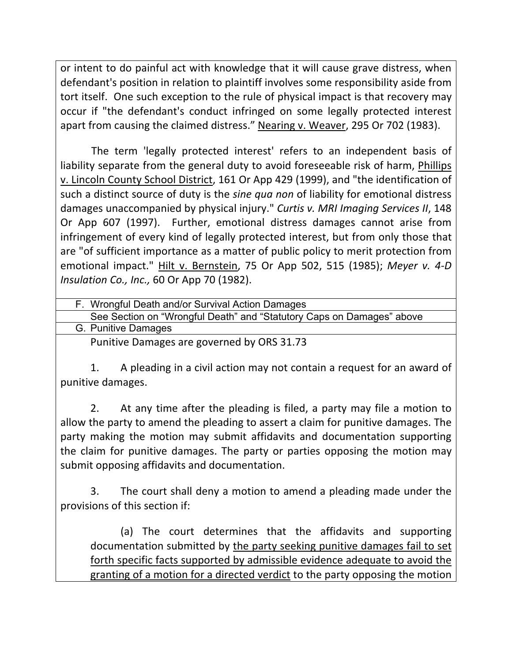or intent to do painful act with knowledge that it will cause grave distress, when defendant's position in relation to plaintiff involves some responsibility aside from tort itself. One such exception to the rule of physical impact is that recovery may occur if "the defendant's conduct infringed on some legally protected interest apart from causing the claimed distress." Nearing v. Weaver, 295 Or 702 (1983).

The term 'legally protected interest' refers to an independent basis of liability separate from the general duty to avoid foreseeable risk of harm, Phillips v. Lincoln County School District, 161 Or App 429 (1999), and "the identification of such a distinct source of duty is the *sine qua non* of liability for emotional distress damages unaccompanied by physical injury." Curtis v. MRI Imaging Services II, 148 Or App 607 (1997). Further, emotional distress damages cannot arise from infringement of every kind of legally protected interest, but from only those that are "of sufficient importance as a matter of public policy to merit protection from emotional impact." Hilt v. Bernstein, 75 Or App 502, 515 (1985); Meyer v. 4-D *Insulation Co., Inc.,* 60 Or App 70 (1982).

| F. Wrongful Death and/or Survival Action Damages                      |
|-----------------------------------------------------------------------|
| See Section on "Wrongful Death" and "Statutory Caps on Damages" above |
| G. Punitive Damages                                                   |
|                                                                       |

Punitive Damages are governed by ORS 31.73

1. A pleading in a civil action may not contain a request for an award of punitive damages.

2. At any time after the pleading is filed, a party may file a motion to allow the party to amend the pleading to assert a claim for punitive damages. The party making the motion may submit affidavits and documentation supporting the claim for punitive damages. The party or parties opposing the motion may submit opposing affidavits and documentation.

3. The court shall deny a motion to amend a pleading made under the provisions of this section if:

(a) The court determines that the affidavits and supporting documentation'submitted by the party seeking punitive damages fail to set forth specific facts supported by admissible evidence adequate to avoid the granting of a motion for a directed verdict to the party opposing the motion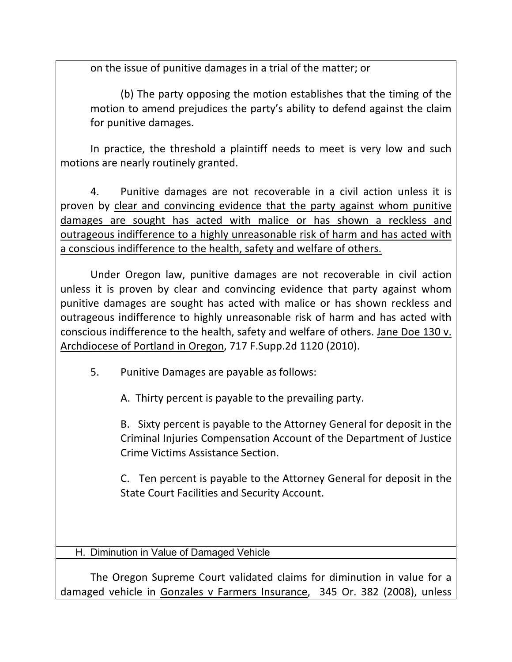on the issue of punitive damages in a trial of the matter; or

(b) The party opposing the motion establishes that the timing of the motion to amend prejudices the party's ability to defend against the claim for punitive damages.

In practice, the threshold a plaintiff needs to meet is very low and such motions are nearly routinely granted.

4. Punitive damages are not recoverable in a civil action unless it is proven' by clear and convincing evidence that the party against whom punitive damages are sought has acted with malice or has shown a reckless and outrageous indifference to a highly unreasonable risk of harm and has acted with a conscious indifference to the health, safety and welfare of others.

Under Oregon law, punitive damages are not recoverable in civil action unless it is proven by clear and convincing evidence that party against whom punitive damages are sought has acted with malice or has shown reckless and outrageous indifference to highly unreasonable risk of harm and has acted with conscious indifference to the health, safety and welfare of others. Jane Doe 130 v. Archdiocese of Portland in Oregon, 717 F.Supp.2d 1120 (2010).

5. Punitive Damages are payable as follows:

A. Thirty percent is payable to the prevailing party.

B. Sixty percent is payable to the Attorney General for deposit in the Criminal Injuries Compensation Account of the Department of Justice Crime Victims Assistance Section.

C. Ten percent is payable to the Attorney General for deposit in the State Court Facilities and Security Account.

H. Diminution in Value of Damaged Vehicle

The Oregon Supreme Court validated claims for diminution in value for a damaged vehicle in Gonzales v Farmers Insurance, 345 Or. 382 (2008), unless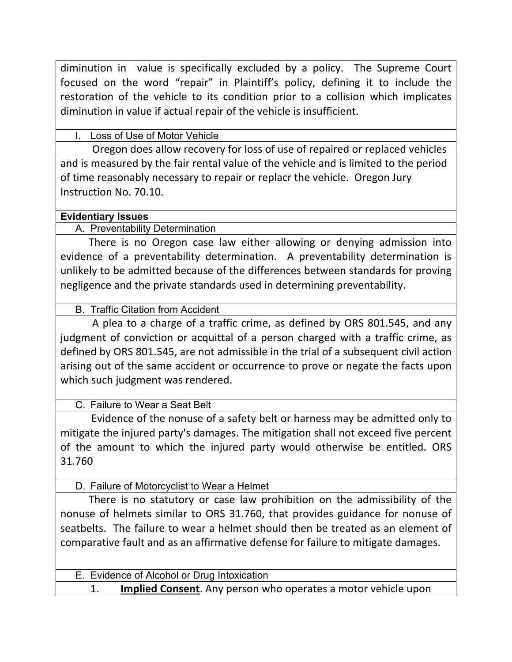diminution in value is specifically excluded by a policy. The Supreme Court focused on the word "repair" in Plaintiff's policy, defining it to include the restoration of the vehicle to its condition prior to a collision which implicates diminution in value if actual repair of the vehicle is insufficient.

Loss of Use of Motor Vehicle

Oregon does allow recovery for loss of use of repaired or replaced vehicles and is measured by the fair rental value of the vehicle and is limited to the period of time reasonably necessary to repair or replacr the vehicle. Oregon Jury Instruction'No.'70.10.

# **Evidentiary Issues**

A. Preventability Determination

There is no Oregon case law either allowing or denying admission into evidence of a preventability determination. A preventability determination is unlikely to be admitted because of the differences between standards for proving negligence and the private standards used in determining preventability.

B. Traffic Citation from Accident

A plea to a charge of a traffic crime, as defined by ORS 801.545, and any judgment of conviction or acquittal of a person charged with a traffic crime, as defined by ORS 801.545, are not admissible in the trial of a subsequent civil action arising out of the same accident or occurrence to prove or negate the facts upon which such judgment was rendered.

C. Failure to Wear a Seat Belt

Evidence of the nonuse of a safety belt or harness may be admitted only to mitigate the injured party's damages. The mitigation shall not exceed five percent of the amount to which the injured party would otherwise be entitled. ORS 31.760

D. Failure of Motorcyclist to Wear a Helmet

There is no statutory or case law prohibition on the admissibility of the nonuse of helmets similar to ORS 31.760, that provides guidance for nonuse of seatbelts. The failure to wear a helmet should then be treated as an element of comparative fault and as an affirmative defense for failure to mitigate damages.

E. Evidence of Alcohol or Drug Intoxication

1. **Implied Consent**. Any person who operates a motor vehicle upon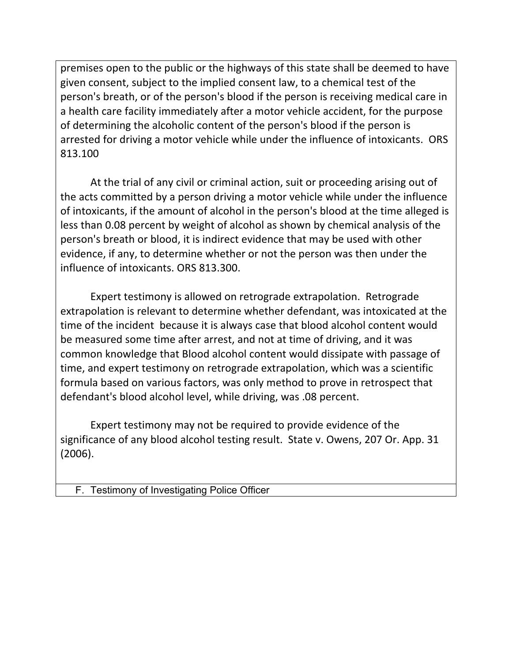premises open to the public or the highways of this state shall be deemed to have given consent, subject to the implied consent law, to a chemical test of the person's breath, or of the person's blood if the person is receiving medical care in a health care facility immediately after a motor vehicle accident, for the purpose of determining the alcoholic content of the person's blood if the person is arrested for driving a motor vehicle while under the influence of intoxicants. ORS 813.100

At the trial of any civil or criminal action, suit or proceeding arising out of the acts committed by a person driving a motor vehicle while under the influence of intoxicants, if the amount of alcohol in the person's blood at the time alleged is less than 0.08 percent by weight of alcohol as shown by chemical analysis of the person's breath or blood, it is indirect evidence that may be used with other evidence, if any, to determine whether or not the person was then under the influence of intoxicants. ORS 813.300.

Expert testimony is allowed on retrograde extrapolation. Retrograde extrapolation is relevant to determine whether defendant, was intoxicated at the time of the incident because it is always case that blood alcohol content would be measured some time after arrest, and not at time of driving, and it was common knowledge that Blood alcohol content would dissipate with passage of time, and expert testimony on retrograde extrapolation, which was a scientific formula based on various factors, was only method to prove in retrospect that defendant's blood alcohol level, while driving, was .08 percent.

Expert testimony may not be required to provide evidence of the significance of any blood alcohol testing result. State v. Owens, 207 Or. App. 31 (2006).

F. Testimony of Investigating Police Officer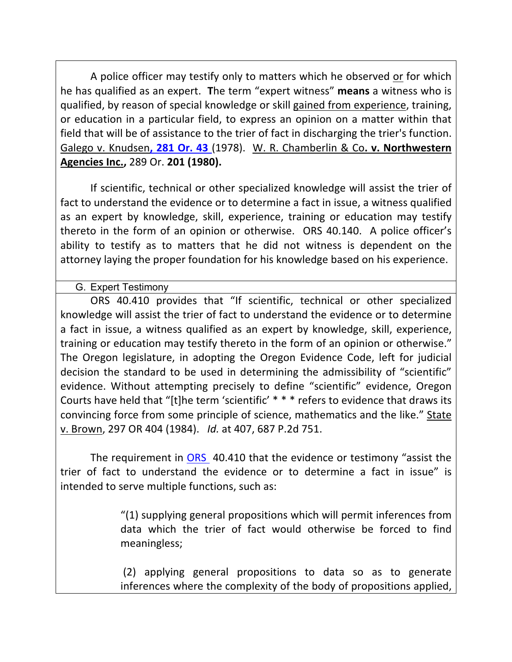A police officer may testify only to matters which he observed or for which he has qualified as an expert. The term "expert witness" means a witness who is qualified, by reason of special knowledge or skill gained from experience, training, or education in a particular field, to express an opinion on a matter within that field that will be of assistance to the trier of fact in discharging the trier's function. Galego v. Knudsen, 281 Or. 43 (1978). W. R. Chamberlin & Co. v. Northwestern **Agencies Inc., 289 Or. 201 (1980).** 

If scientific, technical or other specialized knowledge will assist the trier of fact to understand the evidence or to determine a fact in issue, a witness qualified as an expert by knowledge, skill, experience, training or education may testify thereto in the form of an opinion or otherwise. ORS 40.140. A police officer's ability to testify as to matters that he did not witness is dependent on the attorney laying the proper foundation for his knowledge based on his experience.

G. Expert Testimony

ORS 40.410 provides that "If scientific, technical or other specialized knowledge will assist the trier of fact to understand the evidence or to determine a fact in issue, a witness qualified as an expert by knowledge, skill, experience, training or education may testify thereto in the form of an opinion or otherwise." The Oregon legislature, in adopting the Oregon Evidence Code, left for judicial decision the standard to be used in determining the admissibility of "scientific" evidence. Without attempting precisely to define "scientific" evidence, Oregon Courts have held that "[t]he term 'scientific' \* \* \* refers to evidence that draws its convincing force from some principle of science, mathematics and the like." State v. Brown, 297 OR 404 (1984). Id. at 407, 687 P.2d 751.

The requirement in ORS 40.410 that the evidence or testimony "assist the trier of fact to understand the evidence or to determine a fact in issue" is intended to serve multiple functions, such as:

> "(1) supplying general propositions which will permit inferences from data' which' the' trier' of' fact' would' otherwise' be' forced' to' find' meaningless;

> (2)' applying' general' propositions' to' data' so' as' to' generate' inferences where the complexity of the body of propositions applied,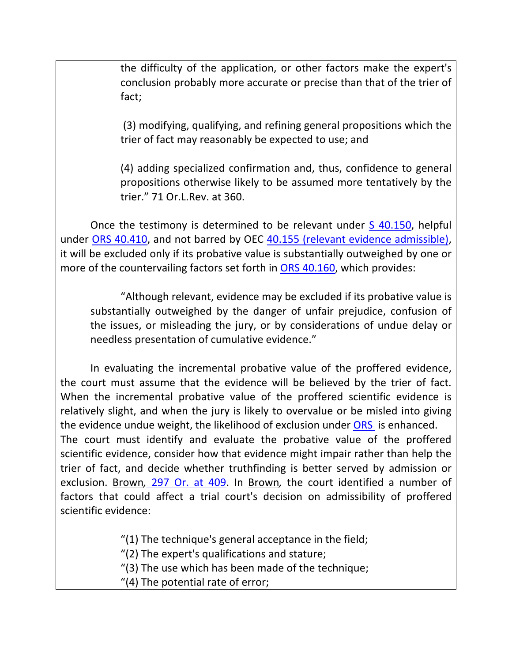the difficulty of the application, or other factors make the expert's conclusion probably more accurate or precise than that of the trier of fact;

(3) modifying, qualifying, and refining general propositions which the trier of fact may reasonably be expected to use; and

(4) adding specialized confirmation and, thus, confidence to general propositions otherwise likely to be assumed more tentatively by the trier." 71 Or.L.Rev. at 360.

Once the testimony is determined to be relevant under S 40.150, helpful under ORS 40.410, and not barred by OEC 40.155 (relevant evidence admissible), it will be excluded only if its probative value is substantially outweighed by one or more of the countervailing factors set forth in ORS 40.160, which provides:

"Although relevant, evidence may be excluded if its probative value is substantially outweighed by the danger of unfair prejudice, confusion of the issues, or misleading the jury, or by considerations of undue delay or needless presentation of cumulative evidence."

In evaluating the incremental probative value of the proffered evidence, the court must assume that the evidence will be believed by the trier of fact. When the incremental probative value of the proffered scientific evidence is relatively slight, and when the jury is likely to overvalue or be misled into giving the evidence undue weight, the likelihood of exclusion under ORS is enhanced. The court must identify and evaluate the probative value of the proffered scientific evidence, consider how that evidence might impair rather than help the trier of fact, and decide whether truthfinding is better served by admission or exclusion. Brown, 297 Or. at 409. In Brown, the court identified a number of factors that could affect a trial court's decision on admissibility of proffered scientific evidence:

"(1) The technique's general acceptance in the field;

" $(2)$  The expert's qualifications and stature;

" $(3)$  The use which has been made of the technique;

"(4) The potential rate of error;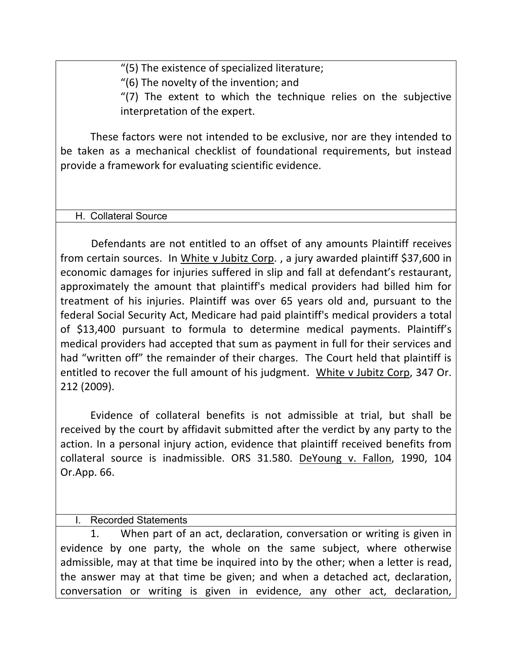"(5) The existence of specialized literature;

 $''(6)$  The novelty of the invention; and

" $(7)$  The extent to which the technique relies on the subjective interpretation of the expert.

These factors were not intended to be exclusive, nor are they intended to be taken as a mechanical checklist of foundational requirements, but instead provide a framework for evaluating scientific evidence.

#### H. Collateral Source

Defendants are not entitled to an offset of any amounts Plaintiff receives from certain sources. In White v Jubitz Corp., a jury awarded plaintiff \$37,600 in economic damages for injuries suffered in slip and fall at defendant's restaurant, approximately the amount that plaintiff's medical providers had billed him for treatment of his injuries. Plaintiff was over 65 years old and, pursuant to the federal Social Security Act, Medicare had paid plaintiff's medical providers a total of \$13,400 pursuant to formula to determine medical payments. Plaintiff's medical providers had accepted that sum as payment in full for their services and had "written off" the remainder of their charges. The Court held that plaintiff is entitled to recover the full amount of his judgment. White v Jubitz Corp, 347 Or. 212 (2009).

Evidence of collateral benefits is not admissible at trial, but shall be received by the court by affidavit submitted after the verdict by any party to the action. In a personal injury action, evidence that plaintiff received benefits from collateral source is inadmissible. ORS 31.580. DeYoung v. Fallon, 1990, 104 Or.App. 66.

### Recorded Statements

1. When part of an act, declaration, conversation or writing is given in evidence by one party, the whole on the same subject, where otherwise admissible, may at that time be inquired into by the other; when a letter is read, the answer may at that time be given; and when a detached act, declaration, conversation or writing is given in evidence, any other act, declaration,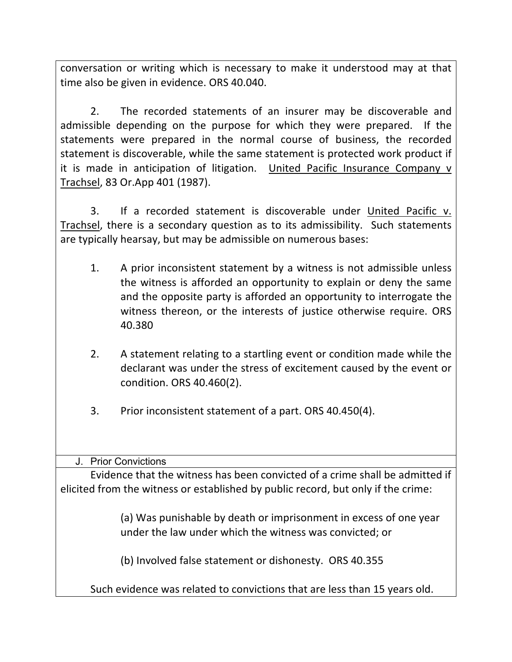conversation or writing which is necessary to make it understood may at that time also be given in evidence. ORS 40.040.

2. The recorded statements of an insurer may be discoverable and admissible depending on the purpose for which they were prepared. If the statements were prepared in the normal course of business, the recorded statement is discoverable, while the same statement is protected work product if it is made in anticipation of litigation. United Pacific Insurance Company v Trachsel, 83 Or.App 401 (1987).

3. If a recorded statement is discoverable under United Pacific v. Trachsel, there is a secondary question as to its admissibility. Such statements are typically hearsay, but may be admissible on numerous bases:

- 1. A prior inconsistent statement by a witness is not admissible unless the witness is afforded an opportunity to explain or deny the same and the opposite party is afforded an opportunity to interrogate the witness thereon, or the interests of justice otherwise require. ORS 40.380
- 2. A statement relating to a startling event or condition made while the declarant was under the stress of excitement caused by the event or condition. ORS 40.460(2).
- 3. Prior inconsistent statement of a part. ORS 40.450(4).

# J. Prior Convictions

Evidence that the witness has been convicted of a crime shall be admitted if elicited from the witness or established by public record, but only if the crime:

> (a) Was punishable by death or imprisonment in excess of one year under the law under which the witness was convicted; or

(b) Involved false statement or dishonesty. ORS 40.355

Such evidence was related to convictions that are less than 15 years old.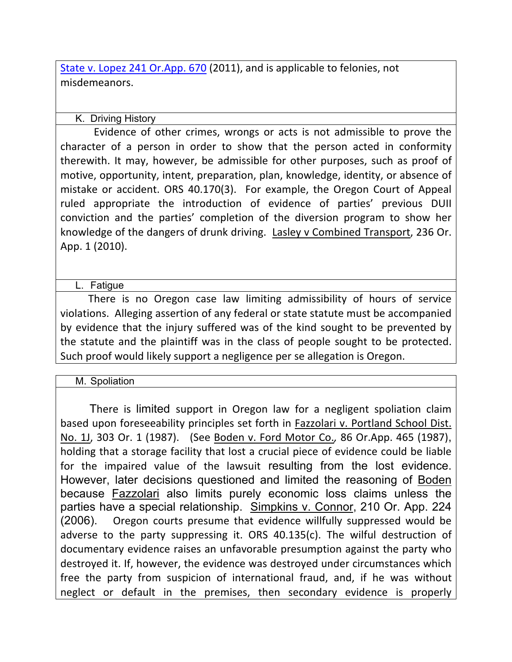State v. Lopez 241 Or.App. 670 (2011), and is applicable to felonies, not misdemeanors.

### K. Driving History

Evidence of other crimes, wrongs or acts is not admissible to prove the character of a person in order to show that the person acted in conformity therewith. It may, however, be admissible for other purposes, such as proof of motive, opportunity, intent, preparation, plan, knowledge, identity, or absence of mistake or accident. ORS 40.170(3). For example, the Oregon Court of Appeal ruled appropriate the introduction of evidence of parties' previous DUII conviction' and' the' parties'' completion' of' the' diversion' program' to' show' her' knowledge of the dangers of drunk driving. Lasley v Combined Transport, 236 Or. App. 1 (2010).

### L. Fatigue

There is no Oregon case law limiting admissibility of hours of service violations. Alleging assertion of any federal or state statute must be accompanied by evidence that the injury suffered was of the kind sought to be prevented by the statute and the plaintiff was in the class of people sought to be protected. Such proof would likely support a negligence per se allegation is Oregon.

### M. Spoliation

There is limited support in Oregon law for a negligent spoliation claim based upon foreseeability principles set forth in Fazzolari v. Portland School Dist. No. 1J, 303 Or. 1 (1987). (See Boden v. Ford Motor Co., 86 Or.App. 465 (1987), holding that a storage facility that lost a crucial piece of evidence could be liable for the impaired value of the lawsuit resulting from the lost evidence. However, later decisions questioned and limited the reasoning of Boden because Fazzolari also limits purely economic loss claims unless the parties have a special relationship. Simpkins v. Connor, 210 Or. App. 224 (2006). Oregon courts presume that evidence willfully suppressed would be adverse to the party suppressing it. ORS  $40.135(c)$ . The wilful destruction of documentary evidence raises an unfavorable presumption against the party who destroyed it. If, however, the evidence was destroyed under circumstances which free the party from suspicion of international fraud, and, if he was without neglect or default in the premises, then secondary evidence is properly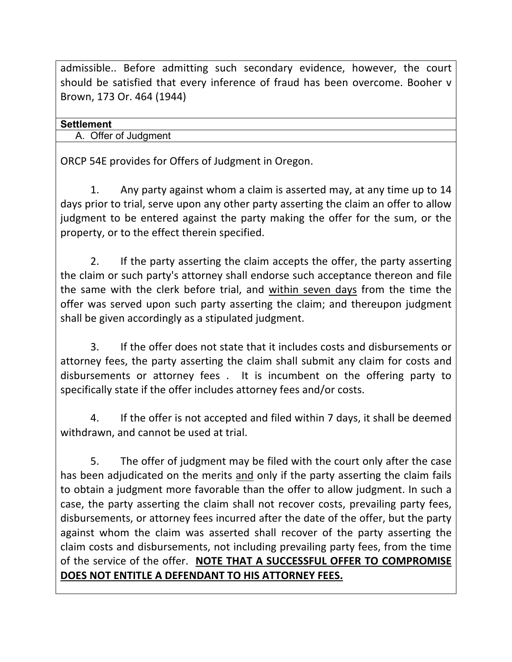admissible..' Before admitting such secondary evidence, however, the court should be satisfied that every inference of fraud has been overcome. Booher v Brown, 173 Or. 464 (1944)

### **Settlement**

A. Offer of Judgment

ORCP 54E provides for Offers of Judgment in Oregon.

1. Any party against whom a claim is asserted may, at any time up to 14 days prior to trial, serve upon any other party asserting the claim an offer to allow judgment to be entered against the party making the offer for the sum, or the property, or to the effect therein specified.

2. If the party asserting the claim accepts the offer, the party asserting the claim or such party's attorney shall endorse such acceptance thereon and file the same with the clerk before trial, and within seven days from the time the offer was served upon such party asserting the claim; and thereupon judgment shall be given accordingly as a stipulated judgment.

3. If the offer does not state that it includes costs and disbursements or attorney fees, the party asserting the claim shall submit any claim for costs and disbursements or attorney fees . It is incumbent on the offering party to specifically state if the offer includes attorney fees and/or costs.

4. If the offer is not accepted and filed within 7 days, it shall be deemed withdrawn, and cannot be used at trial.

5. The offer of judgment may be filed with the court only after the case has been adjudicated on the merits and only if the party asserting the claim fails to obtain a judgment more favorable than the offer to allow judgment. In such a case, the party asserting the claim shall not recover costs, prevailing party fees, disbursements, or attorney fees incurred after the date of the offer, but the party against whom the claim was asserted shall recover of the party asserting the claim costs and disbursements, not including prevailing party fees, from the time of the service of the offer. NOTE THAT A SUCCESSFUL OFFER TO COMPROMISE DOES NOT ENTITLE A DEFENDANT TO HIS ATTORNEY FEES.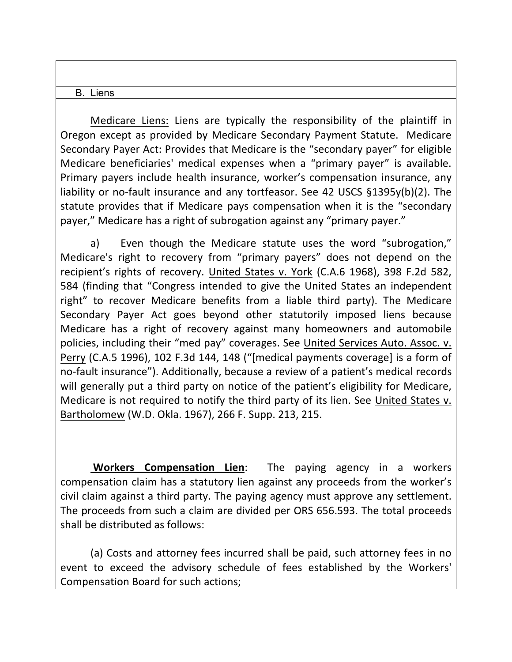#### B. Liens

Medicare Liens: Liens are typically the responsibility of the plaintiff in Oregon except as provided by Medicare Secondary Payment Statute. Medicare Secondary Payer Act: Provides that Medicare is the "secondary payer" for eligible Medicare beneficiaries' medical expenses when a "primary payer" is available. Primary payers include health insurance, worker's compensation insurance, any liability or no-fault insurance and any tortfeasor. See 42 USCS §1395y(b)(2). The statute provides that if Medicare pays compensation when it is the "secondary' payer," Medicare has a right of subrogation against any "primary payer."

a) Even though the Medicare statute uses the word "subrogation," Medicare's right to recovery from "primary payers" does not depend on the recipient's rights of recovery. United States v. York (C.A.6 1968), 398 F.2d 582, 584 (finding that "Congress intended to give the United States an independent right" to recover Medicare benefits from a liable third party). The Medicare Secondary Payer Act goes beyond other statutorily imposed liens because Medicare has a right of recovery against many homeowners and automobile policies, including their "med pay" coverages. See United Services Auto. Assoc. v. Perry (C.A.5 1996), 102 F.3d 144, 148 ("[medical payments coverage] is a form of no-fault insurance"). Additionally, because a review of a patient's medical records will generally put a third party on notice of the patient's eligibility for Medicare, Medicare is not required to notify the third party of its lien. See United States v. Bartholomew (W.D. Okla. 1967), 266 F. Supp. 213, 215.

**Workers Compensation Lien:** The paying agency in a workers compensation claim has a statutory lien against any proceeds from the worker's civil claim against a third party. The paying agency must approve any settlement. The proceeds from such a claim are divided per ORS 656.593. The total proceeds shall be distributed as follows:

(a) Costs and attorney fees incurred shall be paid, such attorney fees in no event to exceed the advisory schedule of fees established by the Workers' Compensation Board for such actions;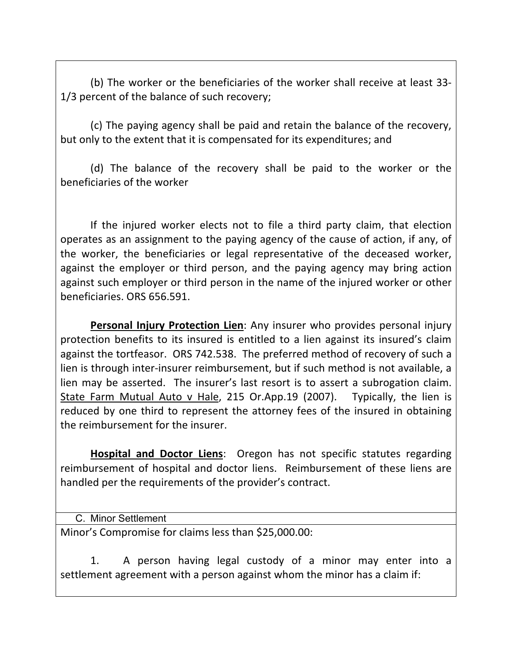(b) The worker or the beneficiaries of the worker shall receive at least 33-1/3 percent of the balance of such recovery;

(c) The paying agency shall be paid and retain the balance of the recovery, but only to the extent that it is compensated for its expenditures; and

(d) The balance of the recovery shall be paid to the worker or the beneficiaries of the worker

If the injured worker elects not to file a third party claim, that election operates as an assignment to the paying agency of the cause of action, if any, of the worker, the beneficiaries or legal representative of the deceased worker, against the employer or third person, and the paying agency may bring action against such employer or third person in the name of the injured worker or other beneficiaries. ORS 656.591.

**Personal Injury Protection Lien**: Any insurer who provides personal injury protection' benefits to its insured is entitled to a lien against its insured's claim against the tortfeasor. ORS 742.538. The preferred method of recovery of such a lien is through inter-insurer reimbursement, but if such method is not available, a lien'may be asserted. The insurer's last resort is to assert a subrogation claim. State Farm Mutual Auto v Hale, 215 Or.App.19 (2007). Typically, the lien is reduced by one third to represent the attorney fees of the insured in obtaining the reimbursement for the insurer.

**Hospital and Doctor Liens**: Oregon has not specific statutes regarding reimbursement of hospital and doctor liens. Reimbursement of these liens are handled per the requirements of the provider's contract.

C. Minor Settlement

Minor's Compromise for claims less than \$25,000.00:

1. A person having legal custody of a minor may enter into a settlement agreement with a person against whom the minor has a claim if: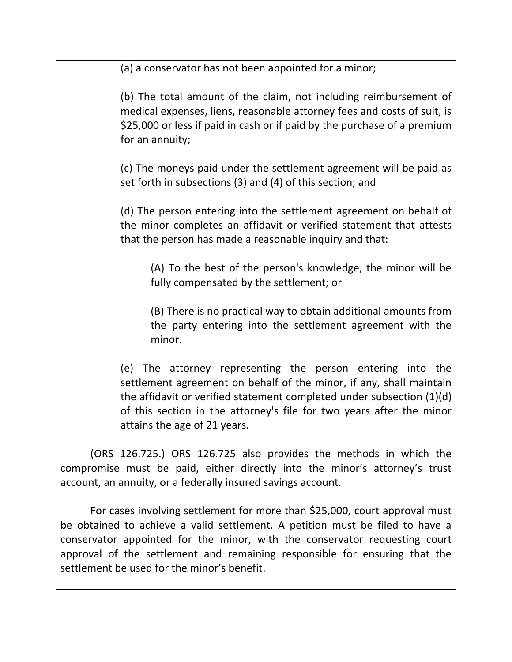(a) a conservator has not been appointed for a minor;

(b) The total amount of the claim, not including reimbursement of medical expenses, liens, reasonable attorney fees and costs of suit, is \$25,000 or less if paid in cash or if paid by the purchase of a premium for an annuity;

(c) The moneys paid under the settlement agreement will be paid as set forth in subsections (3) and (4) of this section; and

(d) The person entering into the settlement agreement on behalf of the minor completes an affidavit or verified statement that attests that the person has made a reasonable inquiry and that:

(A) To the best of the person's knowledge, the minor will be fully compensated by the settlement; or

(B) There is no practical way to obtain additional amounts from the party entering into the settlement agreement with the minor.

(e)' The' attorney' representing' the' person' entering' into' the' settlement agreement on behalf of the minor, if any, shall maintain the affidavit or verified statement completed under subsection (1)(d) of this section in the attorney's file for two years after the minor attains the age of 21 years.

(ORS 126.725.) ORS 126.725 also provides the methods in which the compromise must be paid, either directly into the minor's attorney's trust account, an annuity, or a federally insured savings account.

For cases involving settlement for more than \$25,000, court approval must be obtained to achieve a valid settlement. A petition must be filed to have a conservator appointed for the minor, with the conservator requesting court approval of the settlement and remaining responsible for ensuring that the settlement be used for the minor's benefit.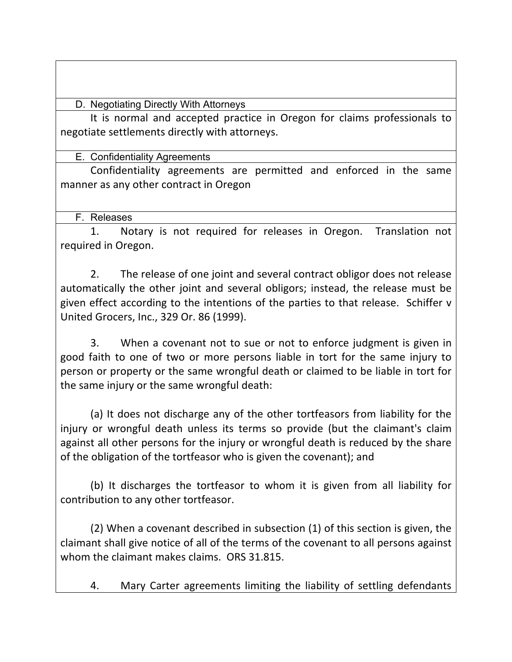D. Negotiating Directly With Attorneys

It is normal and accepted practice in Oregon for claims professionals to negotiate settlements directly with attorneys.

E. Confidentiality Agreements

Confidentiality agreements are permitted and enforced in the same manner as any other contract in Oregon

F. Releases

1. Notary is not required for releases in Oregon. Translation not required in Oregon.

2. The release of one joint and several contract obligor does not release automatically the other joint and several obligors; instead, the release must be given effect according to the intentions of the parties to that release. Schiffer v United Grocers, Inc., 329 Or. 86 (1999).

3. When a covenant not to sue or not to enforce judgment is given in good faith to one of two or more persons liable in tort for the same injury to person' or property or the same wrongful death or claimed to be liable in tort for the same injury or the same wrongful death:

(a) It does not discharge any of the other tortfeasors from liability for the injury or wrongful death unless its terms so provide (but the claimant's claim against all other persons for the injury or wrongful death is reduced by the share of the obligation of the tortfeasor who is given the covenant); and

(b) It discharges the tortfeasor to whom it is given from all liability for contribution to any other tortfeasor.

(2) When a covenant described in subsection  $(1)$  of this section is given, the claimant shall give notice of all of the terms of the covenant to all persons against whom the claimant makes claims. ORS 31.815.

4. Mary Carter agreements limiting the liability of settling defendants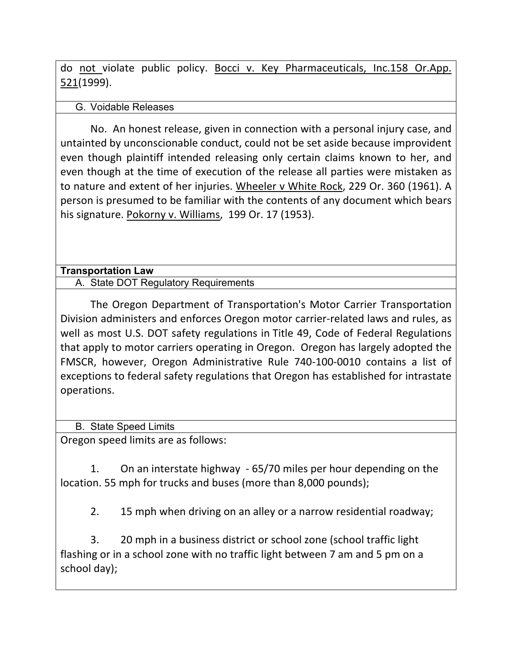do not violate public policy. Bocci v. Key Pharmaceuticals, Inc.158 Or.App. 521(1999).

### G. Voidable Releases

No.' An honest release, given in connection with a personal injury case, and untainted by unconscionable conduct, could not be set aside because improvident even though plaintiff intended releasing only certain claims known to her, and even though at the time of execution of the release all parties were mistaken as to nature and extent of her injuries. Wheeler v White Rock, 229 Or. 360 (1961). A person is presumed to be familiar with the contents of any document which bears his signature. Pokorny v. Williams, 199 Or. 17 (1953).

### **Transportation Law**

A. State DOT Regulatory Requirements

The Oregon Department of Transportation's Motor Carrier Transportation Division administers and enforces Oregon motor carrier-related laws and rules, as well as most U.S. DOT safety regulations in Title 49, Code of Federal Regulations that apply to motor carriers operating in Oregon. Oregon has largely adopted the FMSCR, however, Oregon Administrative Rule 740-100-0010 contains a list of exceptions to federal safety regulations that Oregon has established for intrastate operations.

B. State Speed Limits

Oregon speed limits are as follows:

1. On an interstate highway - 65/70 miles per hour depending on the location. 55 mph for trucks and buses (more than 8,000 pounds);

2. 15 mph when driving on an alley or a narrow residential roadway;

3. 20 mph in a business district or school zone (school traffic light) flashing or in a school zone with no traffic light between 7 am and 5 pm on a school day);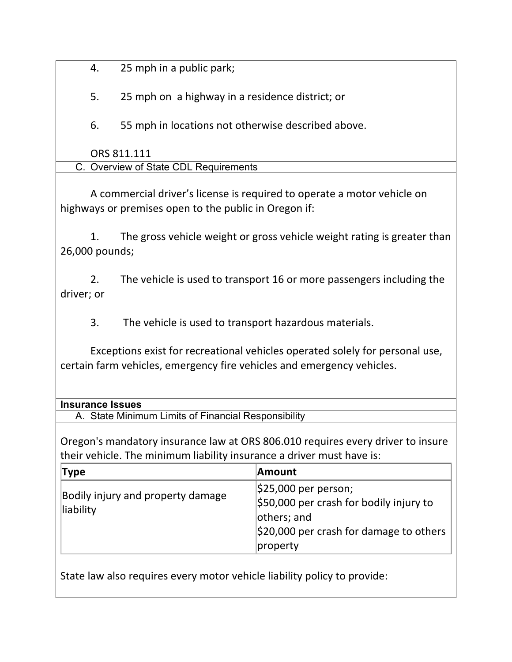4. 25 mph in a public park;

5. 25 mph on a highway in a residence district; or

6. 55 mph in locations not otherwise described above.

ORS 811.111

| C. Overview of State CDL Requirements |  |
|---------------------------------------|--|
|---------------------------------------|--|

A commercial driver's license is required to operate a motor vehicle on highways or premises open to the public in Oregon if:

1. The gross vehicle weight or gross vehicle weight rating is greater than 26,000 pounds;

2. The vehicle is used to transport 16 or more passengers including the driver; or

3. The vehicle is used to transport hazardous materials.

Exceptions exist for recreational vehicles operated solely for personal use, certain farm vehicles, emergency fire vehicles and emergency vehicles.

### **Insurance Issues**

A. State Minimum Limits of Financial Responsibility

Oregon's mandatory insurance law at ORS 806.010 requires every driver to insure their vehicle. The minimum liability insurance a driver must have is:

| Type                                           | ∣Amount                                               |
|------------------------------------------------|-------------------------------------------------------|
| Bodily injury and property damage<br>liability | $ $25,000$ per person;                                |
|                                                | $\frac{1}{2}$ \$50,000 per crash for bodily injury to |
|                                                | others; and                                           |
|                                                | $\frac{1}{2}$ 20,000 per crash for damage to others   |
|                                                | property                                              |

State law also requires every motor vehicle liability policy to provide: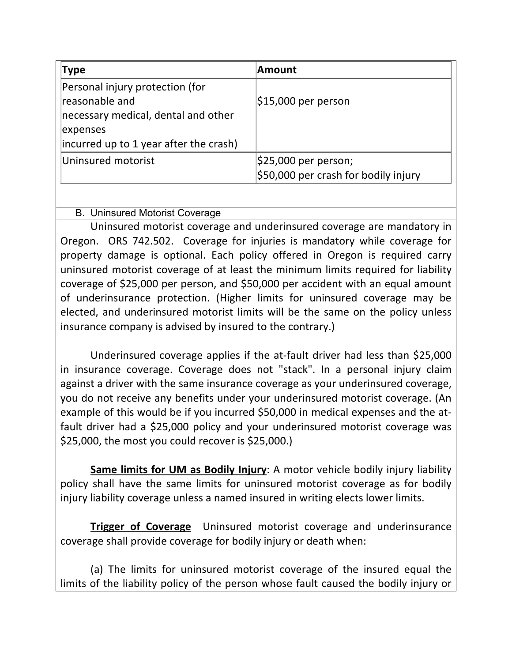| <b>Type</b>                            | <b>Amount</b>                        |
|----------------------------------------|--------------------------------------|
| Personal injury protection (for        |                                      |
| reasonable and                         | $ $15,000$ per person                |
| necessary medical, dental and other    |                                      |
| expenses                               |                                      |
| incurred up to 1 year after the crash) |                                      |
| Uninsured motorist                     | \$25,000 per person;                 |
|                                        | \$50,000 per crash for bodily injury |

# B. Uninsured Motorist Coverage

Uninsured motorist coverage and underinsured coverage are mandatory in Oregon. ORS 742.502. Coverage for injuries is mandatory while coverage for property damage is optional. Each policy offered in Oregon is required carry uninsured motorist coverage of at least the minimum limits required for liability coverage of \$25,000 per person, and \$50,000 per accident with an equal amount of underinsurance protection. (Higher limits for uninsured coverage may be elected, and underinsured motorist limits will be the same on the policy unless insurance company is advised by insured to the contrary.)

Underinsured coverage applies if the at-fault driver had less than \$25,000 in insurance coverage. Coverage does not "stack". In a personal injury claim against a driver with the same insurance coverage as your underinsured coverage, you do not receive any benefits under your underinsured motorist coverage. (An example of this would be if you incurred \$50,000 in medical expenses and the atfault driver had a \$25,000 policy and your underinsured motorist coverage was  $$25,000$ , the most you could recover is  $$25,000$ .)

**Same limits for UM as Bodily Injury:** A motor vehicle bodily injury liability policy shall have the same limits for uninsured motorist coverage as for bodily injury liability coverage unless a named insured in writing elects lower limits.

**Trigger of Coverage** Uninsured motorist coverage and underinsurance coverage shall provide coverage for bodily injury or death when:

(a) The limits for uninsured motorist coverage of the insured equal the limits of the liability policy of the person whose fault caused the bodily injury or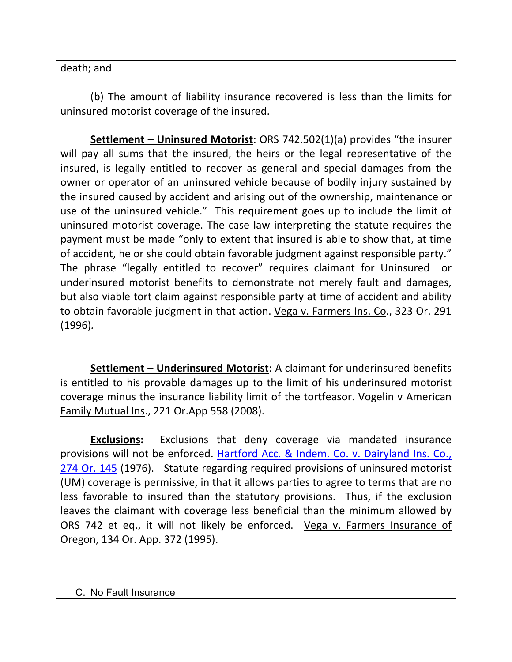death; and

(b) The amount of liability insurance recovered is less than the limits for uninsured motorist coverage of the insured.

**Settlement – Uninsured Motorist:** ORS 742.502(1)(a) provides "the insurer will pay all sums that the insured, the heirs or the legal representative of the insured, is legally entitled to recover as general and special damages from the owner or operator of an uninsured vehicle because of bodily injury sustained by the insured caused by accident and arising out of the ownership, maintenance or use of the uninsured vehicle." This requirement goes up to include the limit of uninsured motorist coverage. The case law interpreting the statute requires the payment must be made "only to extent that insured is able to show that, at time of accident, he or she could obtain favorable judgment against responsible party." The phrase "legally entitled to recover" requires claimant for Uninsured or underinsured motorist benefits to demonstrate not merely fault and damages, but also viable tort claim against responsible party at time of accident and ability to obtain favorable judgment in that action. Vega v. Farmers Ins. Co., 323 Or. 291 (1996)*.*

**Settlement – Underinsured Motorist:** A claimant for underinsured benefits is entitled to his provable damages up to the limit of his underinsured motorist coverage minus the insurance liability limit of the tortfeasor. Vogelin v American Family Mutual Ins., 221 Or.App 558 (2008).

**Exclusions:** Exclusions that deny coverage via mandated insurance provisions will not be enforced. Hartford Acc. & Indem. Co. v. Dairyland Ins. Co., 274 Or. 145 (1976). Statute regarding required provisions of uninsured motorist (UM) coverage is permissive, in that it allows parties to agree to terms that are no less favorable to insured than the statutory provisions. Thus, if the exclusion leaves the claimant with coverage less beneficial than the minimum allowed by ORS 742 et eq., it will not likely be enforced. Vega v. Farmers Insurance of Oregon, 134 Or. App. 372 (1995).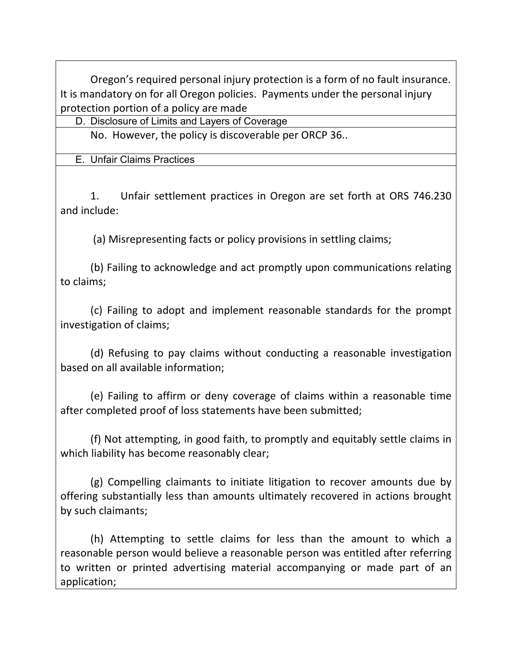Oregon's required personal injury protection is a form of no fault insurance. It is mandatory on for all Oregon policies. Payments under the personal injury protection portion of a policy are made

D. Disclosure of Limits and Layers of Coverage

No. However, the policy is discoverable per ORCP 36..

E. Unfair Claims Practices

1. Unfair settlement practices in Oregon are set forth at ORS 746.230 and'include:

(a) Misrepresenting facts or policy provisions in settling claims;

(b) Failing to acknowledge and act promptly upon communications relating to claims:

(c)' Failing' to' adopt' and' implement' reasonable' standards' for' the' prompt' investigation of claims;

(d) Refusing to pay claims without conducting a reasonable investigation based on all available information;

(e) Failing to affirm or deny coverage of claims within a reasonable time after completed proof of loss statements have been submitted;

(f) Not attempting, in good faith, to promptly and equitably settle claims in which liability has become reasonably clear;

(g) Compelling claimants to initiate litigation to recover amounts due by offering substantially less than amounts ultimately recovered in actions brought by such claimants;

(h) Attempting to settle claims for less than the amount to which a reasonable person would believe a reasonable person was entitled after referring to written or printed advertising material accompanying or made part of an application;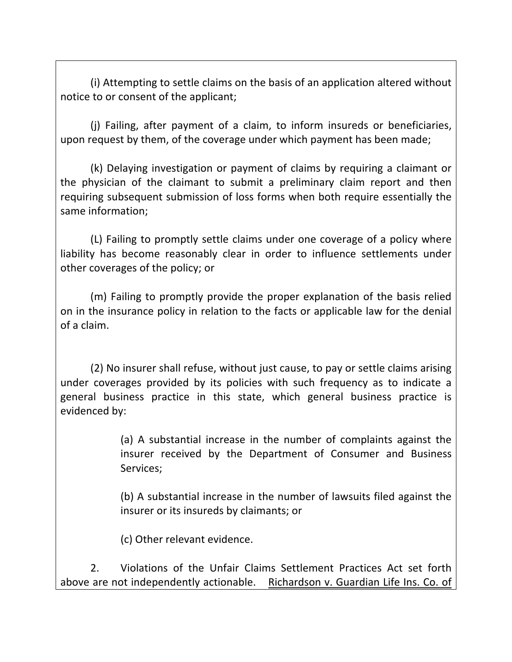(i) Attempting to settle claims on the basis of an application altered without notice to or consent of the applicant;

(i) Failing, after payment of a claim, to inform insureds or beneficiaries, upon request by them, of the coverage under which payment has been made;

(k) Delaying investigation or payment of claims by requiring a claimant or the physician of the claimant to submit a preliminary claim report and then requiring subsequent submission of loss forms when both require essentially the same information;

(L) Failing to promptly settle claims under one coverage of a policy where liability has become reasonably clear in order to influence settlements under other coverages of the policy; or

(m) Failing to promptly provide the proper explanation of the basis relied on in the insurance policy in relation to the facts or applicable law for the denial of a claim.

(2) No insurer shall refuse, without just cause, to pay or settle claims arising under coverages provided by its policies with such frequency as to indicate a general business practice in this state, which general business practice is evidenced by:

> (a) A substantial increase in the number of complaints against the insurer received by the Department of Consumer and Business Services;

> (b) A substantial increase in the number of lawsuits filed against the insurer or its insureds by claimants; or

(c) Other relevant evidence.

2. Violations of the Unfair Claims Settlement Practices Act set forth above are not independently actionable. Richardson v. Guardian Life Ins. Co. of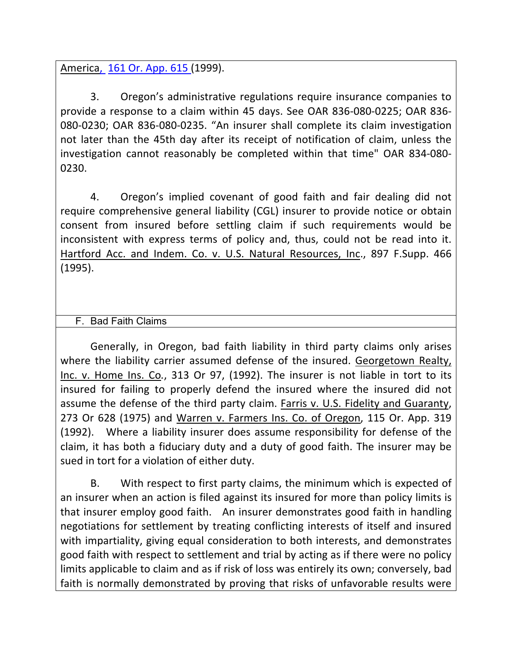America, 161 Or. App. 615 (1999).

3. Oregon's administrative regulations require insurance companies to provide a response to a claim within 45 days. See OAR 836-080-0225; OAR 836-080-0230; OAR 836-080-0235. "An insurer shall complete its claim investigation not later than the 45th day after its receipt of notification of claim, unless the investigation cannot reasonably be completed within that time" OAR 834-080-0230.

4. Oregon's implied covenant of good faith and fair dealing did not require comprehensive general liability (CGL) insurer to provide notice or obtain consent' from' insured' before' settling' claim' if' such' requirements' would' be' inconsistent with express terms of policy and, thus, could not be read into it. Hartford Acc. and Indem. Co. v. U.S. Natural Resources, Inc., 897 F.Supp. 466 (1995).

# F. Bad Faith Claims

Generally, in Oregon, bad faith liability in third party claims only arises where the liability carrier assumed defense of the insured. Georgetown Realty, Inc. v. Home Ins. Co., 313 Or 97, (1992). The insurer is not liable in tort to its insured for failing to properly defend the insured where the insured did not assume the defense of the third party claim. Farris v. U.S. Fidelity and Guaranty, 273 Or 628 (1975) and Warren v. Farmers Ins. Co. of Oregon, 115 Or. App. 319 (1992). Where a liability insurer does assume responsibility for defense of the claim, it has both a fiduciary duty and a duty of good faith. The insurer may be sued in tort for a violation of either duty.

B. With respect to first party claims, the minimum which is expected of an insurer when an action is filed against its insured for more than policy limits is that insurer employ good faith. An insurer demonstrates good faith in handling negotiations for settlement by treating conflicting interests of itself and insured with impartiality, giving equal consideration to both interests, and demonstrates good faith with respect to settlement and trial by acting as if there were no policy limits applicable to claim and as if risk of loss was entirely its own; conversely, bad faith is normally demonstrated by proving that risks of unfavorable results were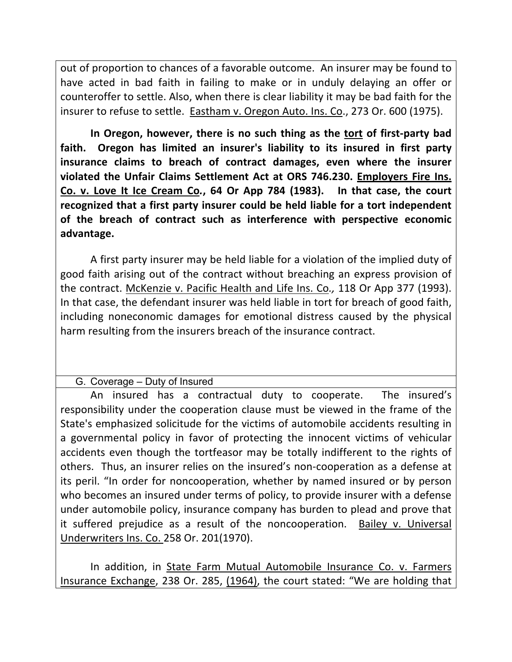out of proportion to chances of a favorable outcome. An insurer may be found to have acted in bad faith in failing to make or in unduly delaying an offer or counteroffer to settle. Also, when there is clear liability it may be bad faith for the insurer to refuse to settle. Eastham v. Oregon Auto. Ins. Co., 273 Or. 600 (1975).

In Oregon, however, there is no such thing as the tort of first-party bad faith. Oregon has limited an insurer's liability to its insured in first party **insurance claims to breach of contract damages, even where the insurer violated! the!Unfair! Claims! Settlement! Act!at!ORS! 746.230.! Employers! Fire!Ins.! Co. v. Love It Ice Cream Co., 64 Or App 784 (1983). In that case, the court** recognized that a first party insurer could be held liable for a tort independent **of the breach of contract such as interference with perspective economic advantage.**

A first party insurer may be held liable for a violation of the implied duty of good faith arising out of the contract without breaching an express provision of the contract. McKenzie v. Pacific Health and Life Ins. Co., 118 Or App 377 (1993). In that case, the defendant insurer was held liable in tort for breach of good faith, including noneconomic damages for emotional distress caused by the physical harm resulting from the insurers breach of the insurance contract.

G. Coverage – Duty of Insured

An insured has a contractual duty to cooperate. The insured's responsibility under the cooperation clause must be viewed in the frame of the State's emphasized solicitude for the victims of automobile accidents resulting in a governmental policy in favor of protecting the innocent victims of vehicular accidents even though the tortfeasor may be totally indifferent to the rights of others. Thus, an insurer relies on the insured's non-cooperation as a defense at its peril. "In order for noncooperation, whether by named insured or by person who becomes an insured under terms of policy, to provide insurer with a defense under automobile policy, insurance company has burden to plead and prove that it suffered prejudice as a result of the noncooperation. Bailey v. Universal Underwriters Ins. Co. 258 Or. 201(1970).

In addition, in State Farm Mutual Automobile Insurance Co. v. Farmers Insurance Exchange, 238 Or. 285, (1964), the court stated: "We are holding that